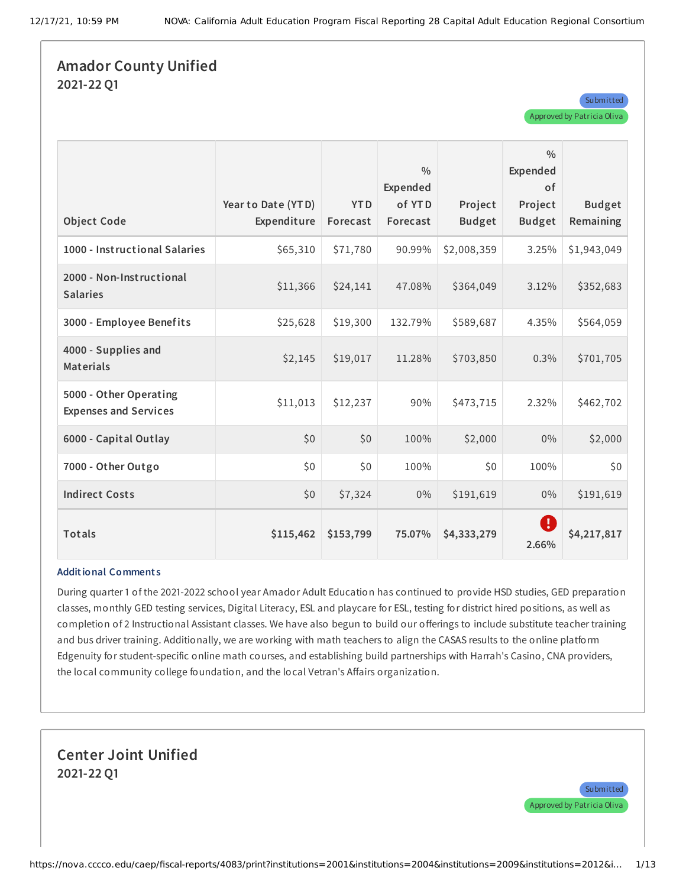### **Amador County Unified 2021-22 Q1**

| <b>Object Code</b>                                     | Year to Date (YTD)<br>Expenditure | <b>YTD</b><br>Forecast | $\frac{0}{0}$<br>Expended<br>of YTD<br>Forecast | Project<br><b>Budget</b> | $\frac{0}{0}$<br>Expended<br><b>of</b><br>Project<br><b>Budget</b> | <b>Budget</b><br>Remaining |
|--------------------------------------------------------|-----------------------------------|------------------------|-------------------------------------------------|--------------------------|--------------------------------------------------------------------|----------------------------|
| 1000 - Instructional Salaries                          | \$65,310                          | \$71,780               | 90.99%                                          | \$2,008,359              | 3.25%                                                              | \$1,943,049                |
| 2000 - Non-Instructional<br><b>Salaries</b>            | \$11,366                          | \$24,141               | 47.08%                                          | \$364,049                | 3.12%                                                              | \$352,683                  |
| 3000 - Employee Benefits                               | \$25,628                          | \$19,300               | 132.79%                                         | \$589,687                | 4.35%                                                              | \$564,059                  |
| 4000 - Supplies and<br><b>Materials</b>                | \$2,145                           | \$19,017               | 11.28%                                          | \$703,850                | 0.3%                                                               | \$701,705                  |
| 5000 - Other Operating<br><b>Expenses and Services</b> | \$11,013                          | \$12,237               | 90%                                             | \$473,715                | 2.32%                                                              | \$462,702                  |
| 6000 - Capital Outlay                                  | \$0                               | \$0                    | 100%                                            | \$2,000                  | $0\%$                                                              | \$2,000                    |
| 7000 - Other Outgo                                     | \$0\$                             | \$0                    | 100%                                            | \$0                      | 100%                                                               | \$0                        |
| <b>Indirect Costs</b>                                  | \$0                               | \$7,324                | $0\%$                                           | \$191,619                | $0\%$                                                              | \$191,619                  |
| Totals                                                 | \$115,462                         | \$153,799              | 75.07%                                          | \$4,333,279              | Ð<br>2.66%                                                         | \$4,217,817                |

#### **Additional Comment s**

During quarter 1 of the 2021-2022 school year Amador Adult Education has continued to provide HSD studies, GED preparation classes, monthly GED testing services, Digital Literacy, ESL and playcare for ESL, testing for district hired positions, as well as completion of 2 Instructional Assistant classes. We have also begun to build our offerings to include substitute teacher training and bus driver training. Additionally, we are working with math teachers to align the CASAS results to the online platform Edgenuity for student-specific online math courses, and establishing build partnerships with Harrah's Casino, CNA providers, the local community college foundation, and the local Vetran's Affairs organization.

### **Center Joint Unified 2021-22 Q1**

**Submitted** 

Approved by Patricia Oliva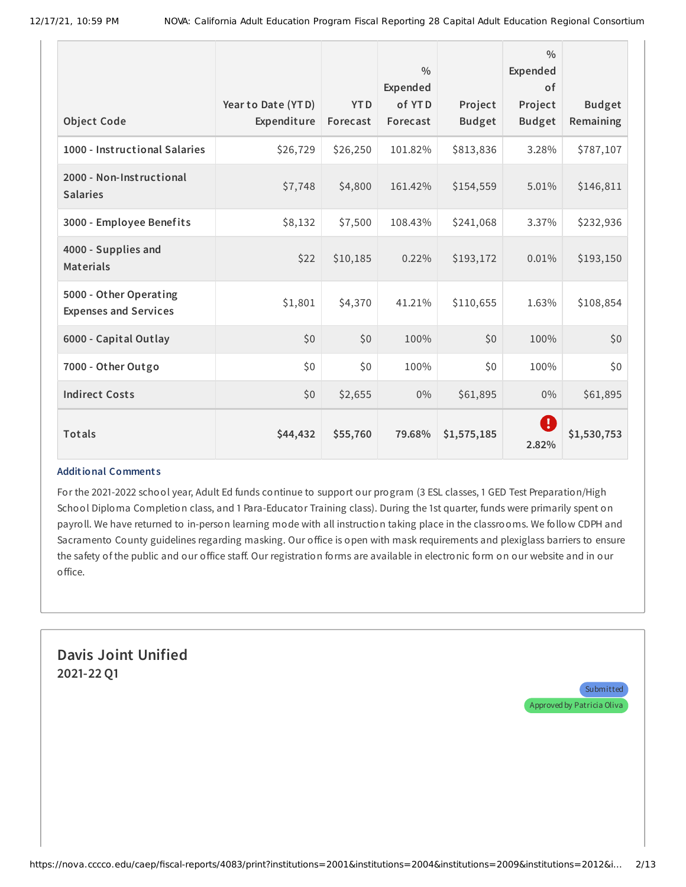|                                                        |                                   |                        | $\frac{0}{0}$<br>Expended |                          | 0/0<br>Expended<br>0f    |                            |
|--------------------------------------------------------|-----------------------------------|------------------------|---------------------------|--------------------------|--------------------------|----------------------------|
| <b>Object Code</b>                                     | Year to Date (YTD)<br>Expenditure | <b>YTD</b><br>Forecast | of YTD<br>Forecast        | Project<br><b>Budget</b> | Project<br><b>Budget</b> | <b>Budget</b><br>Remaining |
| 1000 - Instructional Salaries                          | \$26,729                          | \$26,250               | 101.82%                   | \$813,836                | 3.28%                    | \$787,107                  |
| 2000 - Non-Instructional<br><b>Salaries</b>            | \$7,748                           | \$4,800                | 161.42%                   | \$154,559                | 5.01%                    | \$146,811                  |
| 3000 - Employee Benefits                               | \$8,132                           | \$7,500                | 108.43%                   | \$241,068                | 3.37%                    | \$232,936                  |
| 4000 - Supplies and<br><b>Materials</b>                | \$22                              | \$10,185               | 0.22%                     | \$193,172                | 0.01%                    | \$193,150                  |
| 5000 - Other Operating<br><b>Expenses and Services</b> | \$1,801                           | \$4,370                | 41.21%                    | \$110,655                | 1.63%                    | \$108,854                  |
| 6000 - Capital Outlay                                  | \$0                               | \$0                    | 100%                      | \$0                      | 100%                     | \$0                        |
| 7000 - Other Outgo                                     | \$0                               | \$0                    | 100%                      | \$0                      | 100%                     | \$0                        |
| <b>Indirect Costs</b>                                  | \$0                               | \$2,655                | $0\%$                     | \$61,895                 | $0\%$                    | \$61,895                   |
| <b>Totals</b>                                          | \$44,432                          | \$55,760               | 79.68%                    | \$1,575,185              | Ø<br>2.82%               | \$1,530,753                |

For the 2021-2022 school year, Adult Ed funds continue to support our program (3 ESL classes, 1 GED Test Preparation/High School Diploma Completion class, and 1 Para-Educator Training class). During the 1st quarter, funds were primarily spent on payroll. We have returned to in-person learning mode with all instruction taking place in the classrooms. We follow CDPH and Sacramento County guidelines regarding masking. Our office is open with mask requirements and plexiglass barriers to ensure the safety of the public and our office staff. Our registration forms are available in electronic form on our website and in our office.

# **Davis Joint Unified 2021-22 Q1**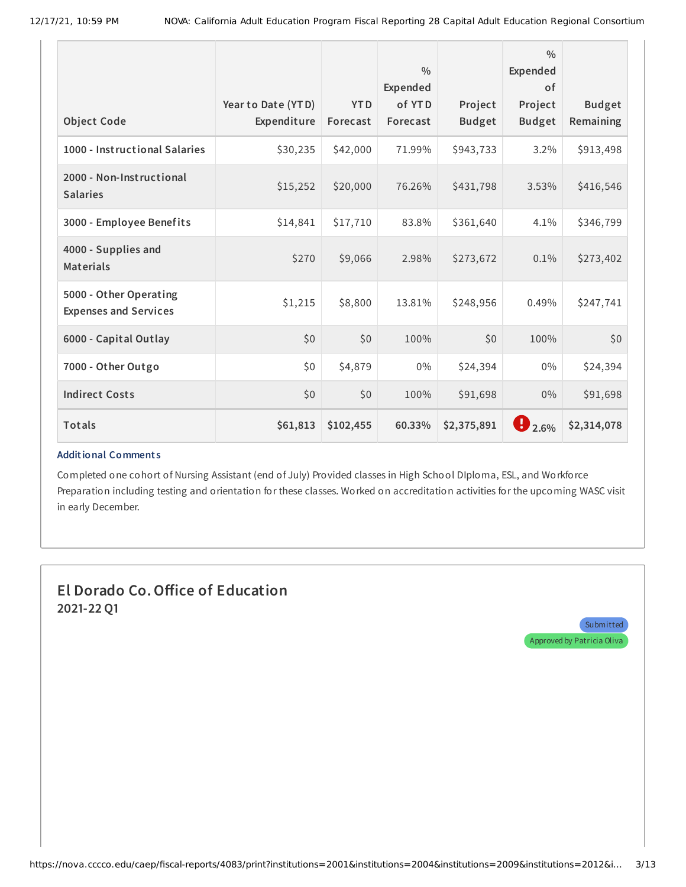| <b>Object Code</b>                                     | Year to Date (YTD)<br>Expenditure | <b>YTD</b><br>Forecast | $\frac{0}{0}$<br><b>Expended</b><br>of YTD<br>Forecast | Project<br><b>Budget</b> | $\frac{0}{0}$<br>Expended<br><b>of</b><br>Project<br><b>Budget</b> | <b>Budget</b><br>Remaining |
|--------------------------------------------------------|-----------------------------------|------------------------|--------------------------------------------------------|--------------------------|--------------------------------------------------------------------|----------------------------|
| 1000 - Instructional Salaries                          | \$30,235                          | \$42,000               | 71.99%                                                 | \$943,733                | 3.2%                                                               | \$913,498                  |
| 2000 - Non-Instructional<br><b>Salaries</b>            | \$15,252                          | \$20,000               | 76.26%                                                 | \$431,798                | 3.53%                                                              | \$416,546                  |
| 3000 - Employee Benefits                               | \$14,841                          | \$17,710               | 83.8%                                                  | \$361,640                | 4.1%                                                               | \$346,799                  |
| 4000 - Supplies and<br><b>Materials</b>                | \$270                             | \$9,066                | 2.98%                                                  | \$273,672                | 0.1%                                                               | \$273,402                  |
| 5000 - Other Operating<br><b>Expenses and Services</b> | \$1,215                           | \$8,800                | 13.81%                                                 | \$248,956                | 0.49%                                                              | \$247,741                  |
| 6000 - Capital Outlay                                  | \$0                               | \$0                    | 100%                                                   | \$0                      | 100%                                                               | \$0                        |
| 7000 - Other Outgo                                     | \$0                               | \$4,879                | $0\%$                                                  | \$24,394                 | 0%                                                                 | \$24,394                   |
| <b>Indirect Costs</b>                                  | \$0                               | \$0                    | 100%                                                   | \$91,698                 | 0%                                                                 | \$91,698                   |
| <b>Totals</b>                                          | \$61,813                          | \$102,455              | 60.33%                                                 | \$2,375,891              | $\bigcup_{2.6\%}$                                                  | \$2,314,078                |

Completed one cohort of Nursing Assistant (end of July) Provided classes in High School DIploma, ESL, and Workforce Preparation including testing and orientation for these classes. Worked on accreditation activities for the upcoming WASC visit in early December.

# **El Dorado Co.Office of Education 2021-22 Q1**

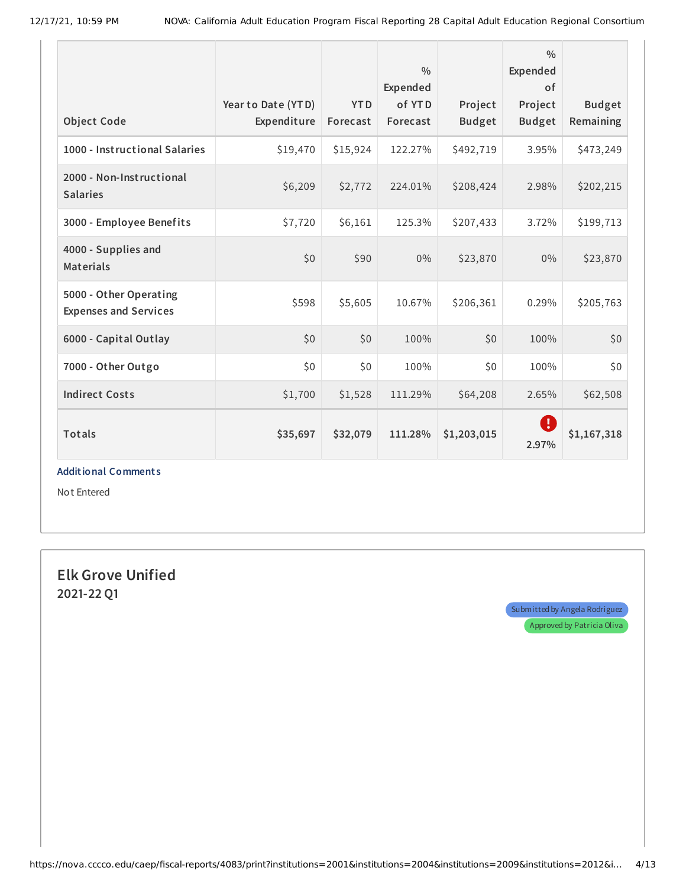| <b>Object Code</b>                                     | Year to Date (YTD)<br>Expenditure | <b>YTD</b><br>Forecast | $\frac{0}{0}$<br>Expended<br>of YTD<br>Forecast | Project<br><b>Budget</b> | $\frac{0}{0}$<br>Expended<br>of<br>Project<br><b>Budget</b> | <b>Budget</b><br>Remaining |
|--------------------------------------------------------|-----------------------------------|------------------------|-------------------------------------------------|--------------------------|-------------------------------------------------------------|----------------------------|
| 1000 - Instructional Salaries                          | \$19,470                          | \$15,924               | 122.27%                                         | \$492,719                | 3.95%                                                       | \$473,249                  |
| 2000 - Non-Instructional<br><b>Salaries</b>            | \$6,209                           | \$2,772                | 224.01%                                         | \$208,424                | 2.98%                                                       | \$202,215                  |
| 3000 - Employee Benefits                               | \$7,720                           | \$6,161                | 125.3%                                          | \$207,433                | 3.72%                                                       | \$199,713                  |
| 4000 - Supplies and<br><b>Materials</b>                | \$0                               | \$90                   | $0\%$                                           | \$23,870                 | $0\%$                                                       | \$23,870                   |
| 5000 - Other Operating<br><b>Expenses and Services</b> | \$598                             | \$5,605                | 10.67%                                          | \$206,361                | 0.29%                                                       | \$205,763                  |
| 6000 - Capital Outlay                                  | \$0                               | \$0                    | 100%                                            | \$0                      | 100%                                                        | \$0                        |
| 7000 - Other Outgo                                     | \$0                               | \$0                    | 100%                                            | \$0                      | 100%                                                        | \$0                        |
| <b>Indirect Costs</b>                                  | \$1,700                           | \$1,528                | 111.29%                                         | \$64,208                 | 2.65%                                                       | \$62,508                   |
| <b>Totals</b>                                          | \$35,697                          | \$32,079               | 111.28%                                         | \$1,203,015              | Ø<br>2.97%                                                  | \$1,167,318                |

Not Entered

**Elk Grove Unified 2021-22 Q1**

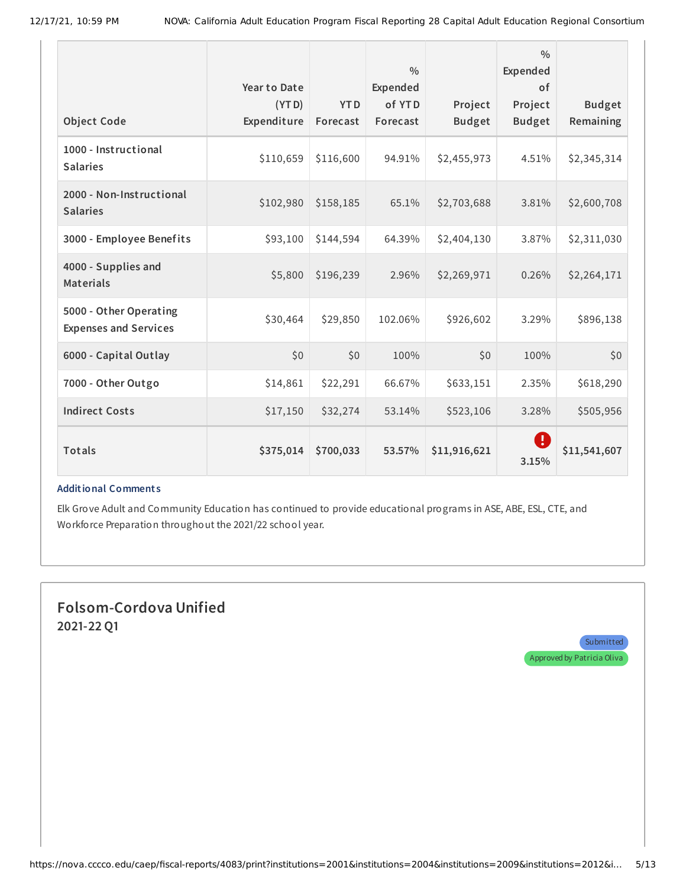| <b>Object Code</b>                                     | Year to Date<br>(YTD)<br>Expenditure | <b>YTD</b><br>Forecast | $\frac{0}{0}$<br><b>Expended</b><br>of YTD<br>Forecast | Project<br><b>Budget</b> | 0/0<br>Expended<br>of<br>Project<br><b>Budget</b>       | <b>Budget</b><br>Remaining |
|--------------------------------------------------------|--------------------------------------|------------------------|--------------------------------------------------------|--------------------------|---------------------------------------------------------|----------------------------|
| 1000 - Instructional<br><b>Salaries</b>                | \$110,659                            | \$116,600              | 94.91%                                                 | \$2,455,973              | 4.51%                                                   | \$2,345,314                |
| 2000 - Non-Instructional<br><b>Salaries</b>            | \$102,980                            | \$158,185              | 65.1%                                                  | \$2,703,688              | 3.81%                                                   | \$2,600,708                |
| 3000 - Employee Benefits                               | \$93,100                             | \$144,594              | 64.39%                                                 | \$2,404,130              | 3.87%                                                   | \$2,311,030                |
| 4000 - Supplies and<br><b>Materials</b>                | \$5,800                              | \$196,239              | 2.96%                                                  | \$2,269,971              | 0.26%                                                   | \$2,264,171                |
| 5000 - Other Operating<br><b>Expenses and Services</b> | \$30,464                             | \$29,850               | 102.06%                                                | \$926,602                | 3.29%                                                   | \$896,138                  |
| 6000 - Capital Outlay                                  | \$0                                  | \$0                    | 100%                                                   | \$0                      | 100%                                                    | \$0                        |
| 7000 - Other Outgo                                     | \$14,861                             | \$22,291               | 66.67%                                                 | \$633,151                | 2.35%                                                   | \$618,290                  |
| <b>Indirect Costs</b>                                  | \$17,150                             | \$32,274               | 53.14%                                                 | \$523,106                | 3.28%                                                   | \$505,956                  |
| Totals                                                 | \$375,014                            | \$700,033              | 53.57%                                                 | \$11,916,621             | $\left( \begin{matrix} 1 \end{matrix} \right)$<br>3.15% | \$11,541,607               |

Elk Grove Adult and Community Education has continued to provide educational programs in ASE, ABE, ESL, CTE, and Workforce Preparation throughout the 2021/22 school year.

# **Folsom-Cordova Unified 2021-22 Q1**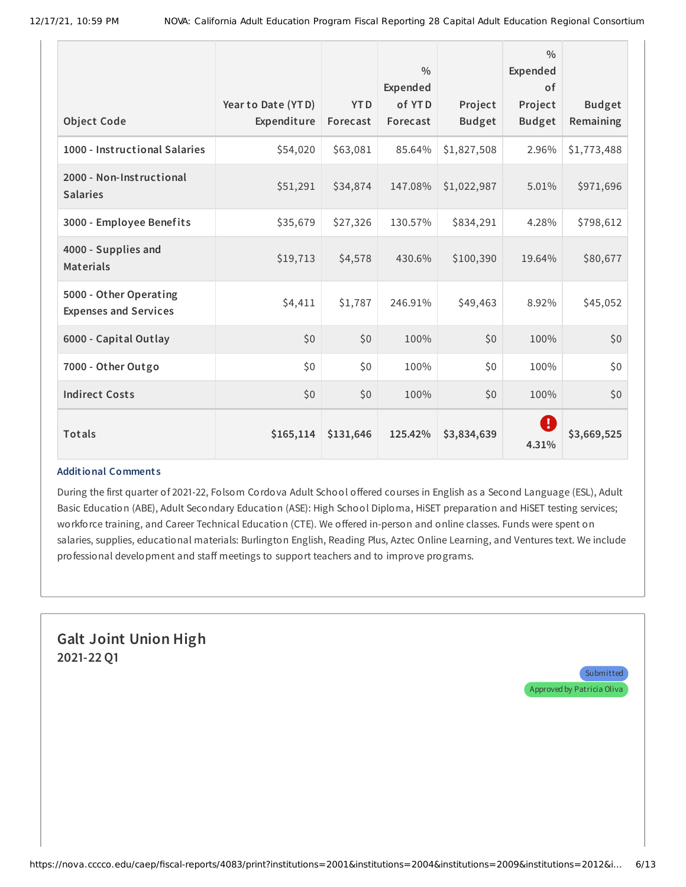|                                                        |                                   |                        | $\frac{0}{0}$<br><b>Expended</b> |                          | $\frac{0}{0}$<br>Expended<br>0f |                            |
|--------------------------------------------------------|-----------------------------------|------------------------|----------------------------------|--------------------------|---------------------------------|----------------------------|
| <b>Object Code</b>                                     | Year to Date (YTD)<br>Expenditure | <b>YTD</b><br>Forecast | of YTD<br>Forecast               | Project<br><b>Budget</b> | Project<br><b>Budget</b>        | <b>Budget</b><br>Remaining |
| 1000 - Instructional Salaries                          | \$54,020                          | \$63,081               | 85.64%                           | \$1,827,508              | 2.96%                           | \$1,773,488                |
| 2000 - Non-Instructional<br><b>Salaries</b>            | \$51,291                          | \$34,874               | 147.08%                          | \$1,022,987              | 5.01%                           | \$971,696                  |
| 3000 - Employee Benefits                               | \$35,679                          | \$27,326               | 130.57%                          | \$834,291                | 4.28%                           | \$798,612                  |
| 4000 - Supplies and<br><b>Materials</b>                | \$19,713                          | \$4,578                | 430.6%                           | \$100,390                | 19.64%                          | \$80,677                   |
| 5000 - Other Operating<br><b>Expenses and Services</b> | \$4,411                           | \$1,787                | 246.91%                          | \$49,463                 | 8.92%                           | \$45,052                   |
| 6000 - Capital Outlay                                  | \$0                               | \$0                    | 100%                             | \$0                      | 100%                            | \$0                        |
| 7000 - Other Outgo                                     | \$0                               | \$0                    | 100%                             | \$0                      | 100%                            | \$0                        |
| <b>Indirect Costs</b>                                  | \$0                               | \$0                    | 100%                             | \$0                      | 100%                            | \$0                        |
| <b>Totals</b>                                          | \$165,114                         | \$131,646              | 125.42%                          | \$3,834,639              | Ø<br>4.31%                      | \$3,669,525                |

During the first quarter of 2021-22, Folsom Cordova Adult School offered courses in English as a Second Language (ESL), Adult Basic Education (ABE), Adult Secondary Education (ASE): High School Diploma, HiSET preparation and HiSET testing services; workforce training, and Career Technical Education (CTE). We offered in-person and online classes. Funds were spent on salaries, supplies, educational materials: Burlington English, Reading Plus, Aztec Online Learning, and Ventures text. We include professional development and staff meetings to support teachers and to improve programs.

### **Galt Joint Union High 2021-22 Q1**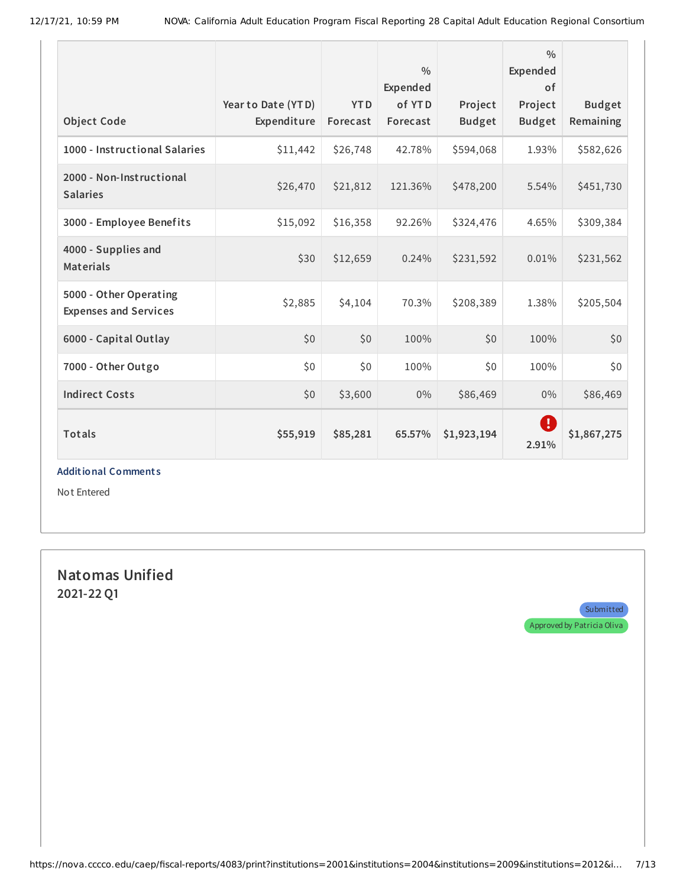| <b>Object Code</b>                                     | Year to Date (YTD)<br>Expenditure | <b>YTD</b><br>Forecast | $\frac{0}{0}$<br>Expended<br>of YTD<br>Forecast | Project<br><b>Budget</b> | $\frac{0}{0}$<br>Expended<br>of<br>Project<br><b>Budget</b> | <b>Budget</b><br>Remaining |
|--------------------------------------------------------|-----------------------------------|------------------------|-------------------------------------------------|--------------------------|-------------------------------------------------------------|----------------------------|
| 1000 - Instructional Salaries                          | \$11,442                          | \$26,748               | 42.78%                                          | \$594,068                | 1.93%                                                       | \$582,626                  |
| 2000 - Non-Instructional<br><b>Salaries</b>            | \$26,470                          | \$21,812               | 121.36%                                         | \$478,200                | 5.54%                                                       | \$451,730                  |
| 3000 - Employee Benefits                               | \$15,092                          | \$16,358               | 92.26%                                          | \$324,476                | 4.65%                                                       | \$309,384                  |
| 4000 - Supplies and<br><b>Materials</b>                | \$30                              | \$12,659               | 0.24%                                           | \$231,592                | 0.01%                                                       | \$231,562                  |
| 5000 - Other Operating<br><b>Expenses and Services</b> | \$2,885                           | \$4,104                | 70.3%                                           | \$208,389                | 1.38%                                                       | \$205,504                  |
| 6000 - Capital Outlay                                  | \$0                               | \$0                    | 100%                                            | \$0                      | 100%                                                        | \$0                        |
| 7000 - Other Outgo                                     | \$0                               | \$0                    | 100%                                            | \$0                      | 100%                                                        | \$0                        |
| <b>Indirect Costs</b>                                  | \$0                               | \$3,600                | $0\%$                                           | \$86,469                 | $0\%$                                                       | \$86,469                   |
| <b>Totals</b>                                          | \$55,919                          | \$85,281               | 65.57%                                          | \$1,923,194              | Ø<br>2.91%                                                  | \$1,867,275                |

Not Entered

**Natomas Unified 2021-22 Q1**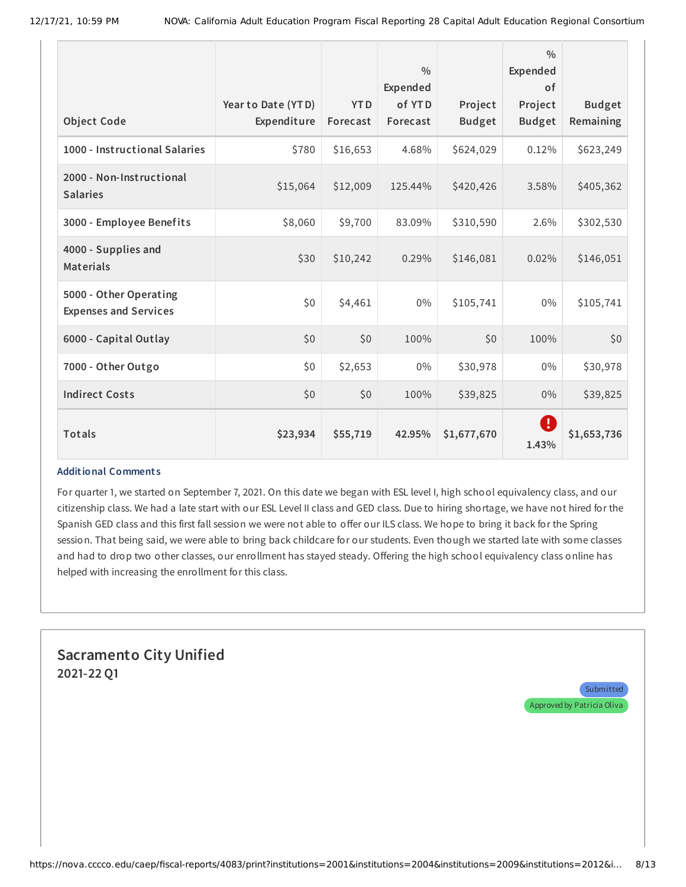|                                                        |                                   |                        | $\frac{0}{0}$<br><b>Expended</b> |                          | 0/0<br>Expended<br>0f    |                            |
|--------------------------------------------------------|-----------------------------------|------------------------|----------------------------------|--------------------------|--------------------------|----------------------------|
| <b>Object Code</b>                                     | Year to Date (YTD)<br>Expenditure | <b>YTD</b><br>Forecast | of YTD<br>Forecast               | Project<br><b>Budget</b> | Project<br><b>Budget</b> | <b>Budget</b><br>Remaining |
| 1000 - Instructional Salaries                          | \$780                             | \$16,653               | 4.68%                            | \$624,029                | 0.12%                    | \$623,249                  |
| 2000 - Non-Instructional<br><b>Salaries</b>            | \$15,064                          | \$12,009               | 125.44%                          | \$420,426                | 3.58%                    | \$405,362                  |
| 3000 - Employee Benefits                               | \$8,060                           | \$9,700                | 83.09%                           | \$310,590                | 2.6%                     | \$302,530                  |
| 4000 - Supplies and<br><b>Materials</b>                | \$30                              | \$10,242               | 0.29%                            | \$146,081                | 0.02%                    | \$146,051                  |
| 5000 - Other Operating<br><b>Expenses and Services</b> | \$0                               | \$4,461                | $0\%$                            | \$105,741                | 0%                       | \$105,741                  |
| 6000 - Capital Outlay                                  | \$0                               | \$0                    | 100%                             | \$0                      | 100%                     | \$0                        |
| 7000 - Other Outgo                                     | \$0                               | \$2,653                | $0\%$                            | \$30,978                 | 0%                       | \$30,978                   |
| <b>Indirect Costs</b>                                  | \$0                               | \$0                    | 100%                             | \$39,825                 | 0%                       | \$39,825                   |
| <b>Totals</b>                                          | \$23,934                          | \$55,719               | 42.95%                           | \$1,677,670              | O<br>1.43%               | \$1,653,736                |

For quarter 1, we started on September 7, 2021. On this date we began with ESL level I, high school equivalency class, and our citizenship class. We had a late start with our ESL Level II class and GED class. Due to hiring shortage, we have not hired for the Spanish GED class and this first fall session we were not able to offer our ILS class. We hope to bring it back for the Spring session. That being said, we were able to bring back childcare for our students. Even though we started late with some classes and had to drop two other classes, our enrollment has stayed steady. Offering the high school equivalency class online has helped with increasing the enrollment for this class.

# **Sacramento City Unified 2021-22 Q1**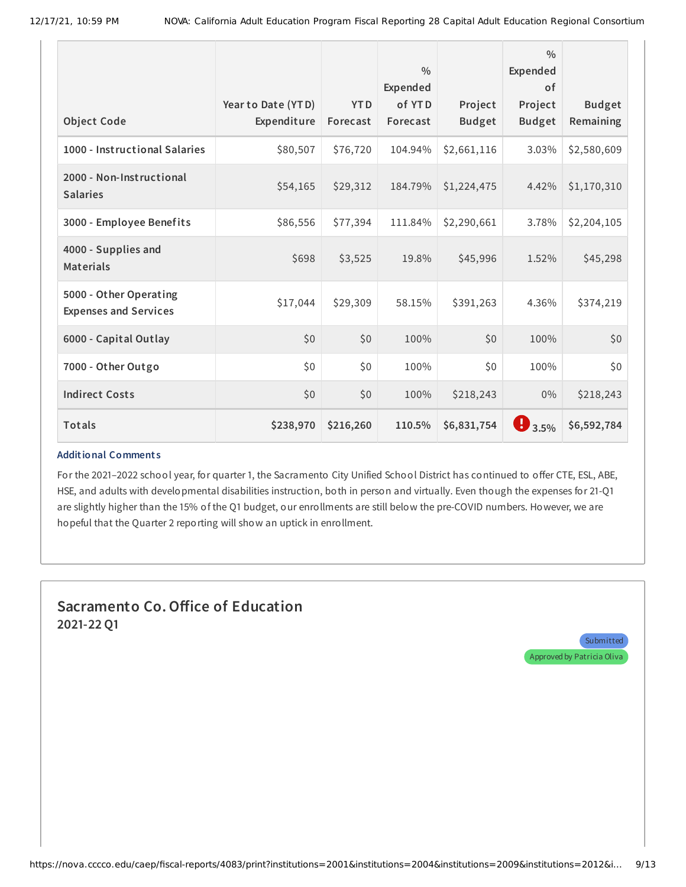| <b>Object Code</b>                                     | Year to Date (YTD)<br>Expenditure | <b>YTD</b><br>Forecast | $\frac{0}{0}$<br>Expended<br>of YTD<br>Forecast | Project<br><b>Budget</b> | 0/0<br><b>Expended</b><br><b>of</b><br>Project<br><b>Budget</b> | <b>Budget</b><br>Remaining |
|--------------------------------------------------------|-----------------------------------|------------------------|-------------------------------------------------|--------------------------|-----------------------------------------------------------------|----------------------------|
| 1000 - Instructional Salaries                          | \$80,507                          | \$76,720               | 104.94%                                         | \$2,661,116              | 3.03%                                                           | \$2,580,609                |
| 2000 - Non-Instructional<br><b>Salaries</b>            | \$54,165                          | \$29,312               | 184.79%                                         | \$1,224,475              | 4.42%                                                           | \$1,170,310                |
| 3000 - Employee Benefits                               | \$86,556                          | \$77,394               | 111.84%                                         | \$2,290,661              | 3.78%                                                           | \$2,204,105                |
| 4000 - Supplies and<br><b>Materials</b>                | \$698                             | \$3,525                | 19.8%                                           | \$45,996                 | 1.52%                                                           | \$45,298                   |
| 5000 - Other Operating<br><b>Expenses and Services</b> | \$17,044                          | \$29,309               | 58.15%                                          | \$391,263                | 4.36%                                                           | \$374,219                  |
| 6000 - Capital Outlay                                  | \$0                               | \$0                    | 100%                                            | \$0                      | 100%                                                            | \$0                        |
| 7000 - Other Outgo                                     | \$0                               | \$0                    | 100%                                            | \$0                      | 100%                                                            | \$0                        |
| <b>Indirect Costs</b>                                  | \$0                               | \$0                    | 100%                                            | \$218,243                | $0\%$                                                           | \$218,243                  |
| Totals                                                 | \$238,970                         | \$216,260              | 110.5%                                          | \$6,831,754              | $\mathbf{9}_{3.5\%}$                                            | \$6,592,784                |

For the 2021–2022 school year, for quarter 1, the Sacramento City Unified School District has continued to offer CTE, ESL, ABE, HSE, and adults with developmental disabilities instruction, both in person and virtually. Even though the expenses for 21-Q1 are slightly higher than the 15% of the Q1 budget, our enrollments are still below the pre-COVID numbers. However, we are hopeful that the Quarter 2 reporting will show an uptick in enrollment.

# **Sacramento Co.Office of Education 2021-22 Q1**

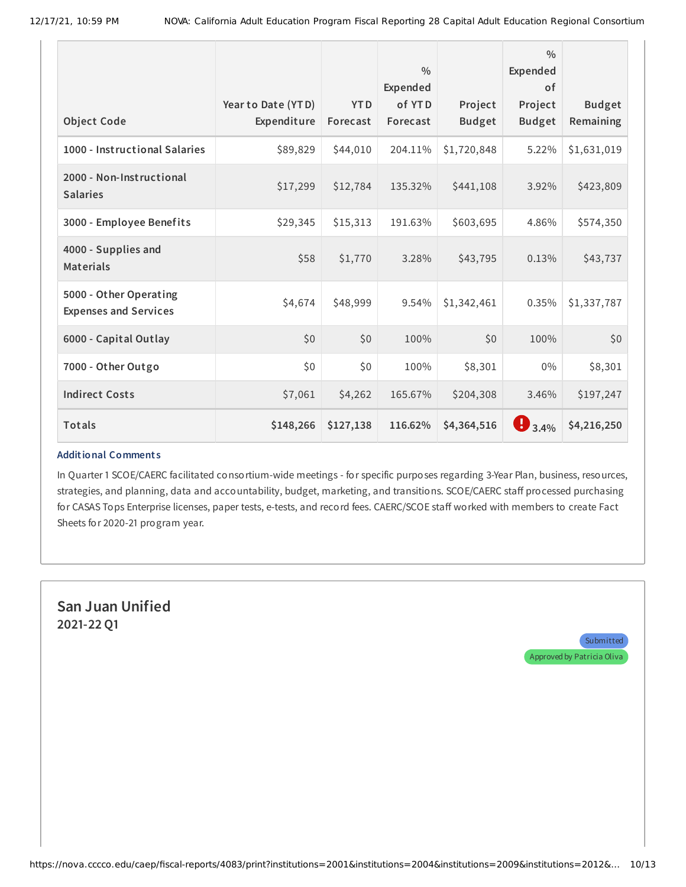| <b>Object Code</b>                                     | Year to Date (YTD)<br>Expenditure | <b>YTD</b><br>Forecast | $\frac{0}{0}$<br>Expended<br>of YTD<br>Forecast | Project<br><b>Budget</b> | 0/0<br><b>Expended</b><br>0f<br>Project<br><b>Budget</b> | <b>Budget</b><br>Remaining |
|--------------------------------------------------------|-----------------------------------|------------------------|-------------------------------------------------|--------------------------|----------------------------------------------------------|----------------------------|
| 1000 - Instructional Salaries                          | \$89,829                          | \$44,010               | 204.11%                                         | \$1,720,848              | 5.22%                                                    | \$1,631,019                |
| 2000 - Non-Instructional<br><b>Salaries</b>            | \$17,299                          | \$12,784               | 135.32%                                         | \$441,108                | 3.92%                                                    | \$423,809                  |
| 3000 - Employee Benefits                               | \$29,345                          | \$15,313               | 191.63%                                         | \$603,695                | 4.86%                                                    | \$574,350                  |
| 4000 - Supplies and<br><b>Materials</b>                | \$58                              | \$1,770                | 3.28%                                           | \$43,795                 | 0.13%                                                    | \$43,737                   |
| 5000 - Other Operating<br><b>Expenses and Services</b> | \$4,674                           | \$48,999               | 9.54%                                           | \$1,342,461              | 0.35%                                                    | \$1,337,787                |
| 6000 - Capital Outlay                                  | \$0                               | \$0                    | 100%                                            | \$0                      | 100%                                                     | \$0                        |
| 7000 - Other Outgo                                     | \$0                               | \$0                    | 100%                                            | \$8,301                  | 0%                                                       | \$8,301                    |
| <b>Indirect Costs</b>                                  | \$7,061                           | \$4,262                | 165.67%                                         | \$204,308                | 3.46%                                                    | \$197,247                  |
| <b>Totals</b>                                          | \$148,266                         | \$127,138              | 116.62%                                         | \$4,364,516              | $\mathbf{B}_{3.4\%}$                                     | \$4,216,250                |

In Quarter 1 SCOE/CAERC facilitated consortium-wide meetings - for specific purposes regarding 3-Year Plan, business, resources, strategies, and planning, data and accountability, budget, marketing, and transitions. SCOE/CAERC staff processed purchasing for CASAS Tops Enterprise licenses, paper tests, e-tests, and record fees. CAERC/SCOE staff worked with members to create Fact Sheets for 2020-21 program year.

**San Juan Unified 2021-22 Q1**

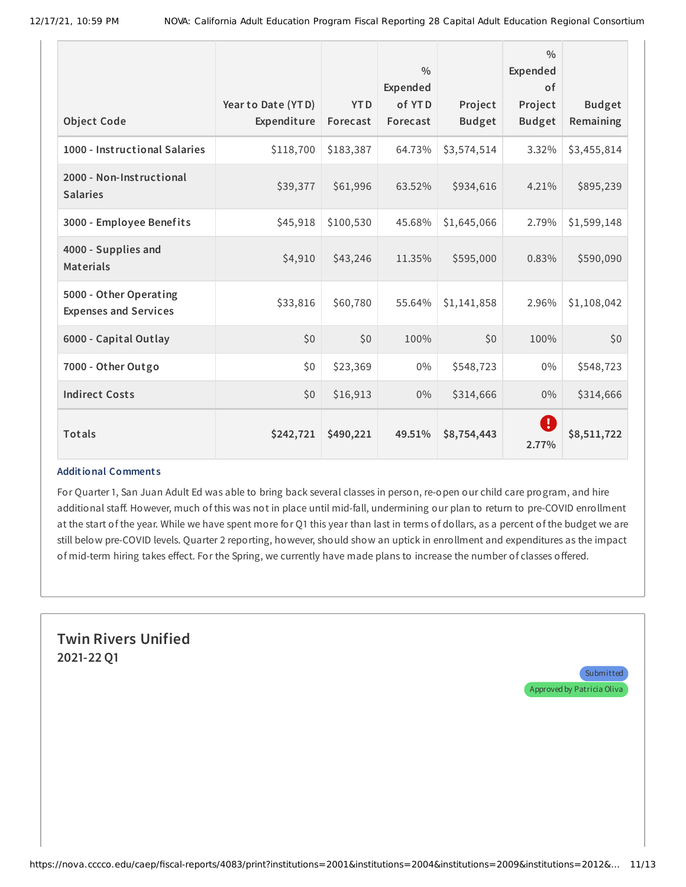| <b>Object Code</b>                                     | Year to Date (YTD)<br>Expenditure | <b>YTD</b><br>Forecast | $\frac{0}{0}$<br>Expended<br>of YTD<br>Forecast | Project<br><b>Budget</b> | 0/0<br>Expended<br><b>of</b><br>Project<br><b>Budget</b> | <b>Budget</b><br>Remaining |
|--------------------------------------------------------|-----------------------------------|------------------------|-------------------------------------------------|--------------------------|----------------------------------------------------------|----------------------------|
| 1000 - Instructional Salaries                          | \$118,700                         | \$183,387              | 64.73%                                          | \$3,574,514              | 3.32%                                                    | \$3,455,814                |
| 2000 - Non-Instructional<br><b>Salaries</b>            | \$39,377                          | \$61,996               | 63.52%                                          | \$934,616                | 4.21%                                                    | \$895,239                  |
| 3000 - Employee Benefits                               | \$45,918                          | \$100,530              | 45.68%                                          | \$1,645,066              | 2.79%                                                    | \$1,599,148                |
| 4000 - Supplies and<br><b>Materials</b>                | \$4,910                           | \$43,246               | 11.35%                                          | \$595,000                | 0.83%                                                    | \$590,090                  |
| 5000 - Other Operating<br><b>Expenses and Services</b> | \$33,816                          | \$60,780               | 55.64%                                          | \$1,141,858              | 2.96%                                                    | \$1,108,042                |
| 6000 - Capital Outlay                                  | \$0                               | \$0                    | 100%                                            | \$0                      | 100%                                                     | \$0                        |
| 7000 - Other Outgo                                     | \$0                               | \$23,369               | $0\%$                                           | \$548,723                | $0\%$                                                    | \$548,723                  |
| <b>Indirect Costs</b>                                  | \$0                               | \$16,913               | $0\%$                                           | \$314,666                | $0\%$                                                    | \$314,666                  |
| <b>Totals</b>                                          | \$242,721                         | \$490,221              | 49.51%                                          | \$8,754,443              | O<br>2.77%                                               | \$8,511,722                |

For Quarter 1, San Juan Adult Ed was able to bring back several classes in person, re-open our child care program, and hire additional staff. However, much of this was not in place until mid-fall, undermining our plan to return to pre-COVID enrollment at the start of the year. While we have spent more for Q1 this year than last in terms of dollars, as a percent of the budget we are still below pre-COVID levels. Quarter 2 reporting, however, should show an uptick in enrollment and expenditures as the impact of mid-term hiring takes effect. For the Spring, we currently have made plans to increase the number of classes offered.

# **Twin Rivers Unified 2021-22 Q1**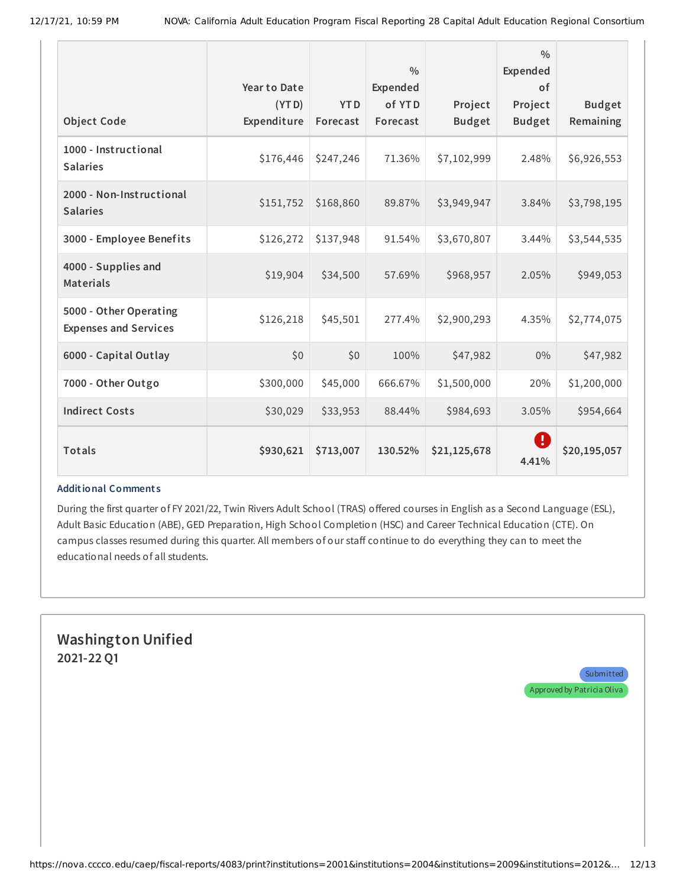|                                                        | Year to Date         |                        | $\frac{0}{0}$<br>Expended |                          | $\frac{0}{0}$<br><b>Expended</b><br>0f |                            |
|--------------------------------------------------------|----------------------|------------------------|---------------------------|--------------------------|----------------------------------------|----------------------------|
| <b>Object Code</b>                                     | (YTD)<br>Expenditure | <b>YTD</b><br>Forecast | of YTD<br>Forecast        | Project<br><b>Budget</b> | Project<br><b>Budget</b>               | <b>Budget</b><br>Remaining |
| 1000 - Instructional<br><b>Salaries</b>                | \$176,446            | \$247,246              | 71.36%                    | \$7,102,999              | 2.48%                                  | \$6,926,553                |
| 2000 - Non-Instructional<br><b>Salaries</b>            | \$151,752            | \$168,860              | 89.87%                    | \$3,949,947              | 3.84%                                  | \$3,798,195                |
| 3000 - Employee Benefits                               | \$126,272            | \$137,948              | 91.54%                    | \$3,670,807              | 3.44%                                  | \$3,544,535                |
| 4000 - Supplies and<br><b>Materials</b>                | \$19,904             | \$34,500               | 57.69%                    | \$968,957                | 2.05%                                  | \$949,053                  |
| 5000 - Other Operating<br><b>Expenses and Services</b> | \$126,218            | \$45,501               | 277.4%                    | \$2,900,293              | 4.35%                                  | \$2,774,075                |
| 6000 - Capital Outlay                                  | \$0                  | \$0                    | 100%                      | \$47,982                 | $0\%$                                  | \$47,982                   |
| 7000 - Other Outgo                                     | \$300,000            | \$45,000               | 666.67%                   | \$1,500,000              | 20%                                    | \$1,200,000                |
| <b>Indirect Costs</b>                                  | \$30,029             | \$33,953               | 88.44%                    | \$984,693                | 3.05%                                  | \$954,664                  |
| Totals                                                 | \$930,621            | \$713,007              | 130.52%                   | \$21,125,678             | Ţ<br>4.41%                             | \$20,195,057               |

During the first quarter of FY 2021/22, Twin Rivers Adult School (TRAS) offered courses in English as a Second Language (ESL), Adult Basic Education (ABE), GED Preparation, High School Completion (HSC) and Career Technical Education (CTE). On campus classes resumed during this quarter. All members of our staff continue to do everything they can to meet the educational needs of all students.

### **Washington Unified 2021-22 Q1**